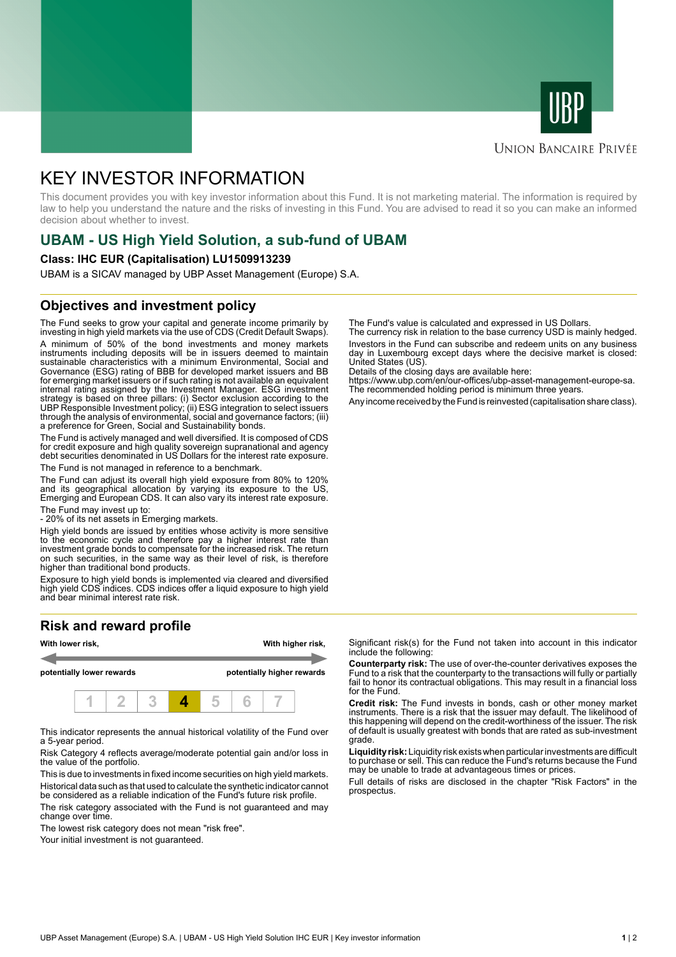



## **UNION BANCAIRE PRIVÉE**

# KEY INVESTOR INFORMATION

This document provides you with key investor information about this Fund. It is not marketing material. The information is required by law to help you understand the nature and the risks of investing in this Fund. You are advised to read it so you can make an informed decision about whether to invest.

# **UBAM - US High Yield Solution, a sub-fund of UBAM**

#### **Class: IHC EUR (Capitalisation) LU1509913239**

UBAM is a SICAV managed by UBP Asset Management (Europe) S.A.

## **Objectives and investment policy**

The Fund seeks to grow your capital and generate income primarily by investing in high yield markets via the use of CDS (Credit Default Swaps). A minimum of 50% of the bond investments and money markets instruments including deposits will be in issuers deemed to maintain sustainable characteristics with a minimum Environmental, Social and Governance (ESG) rating of BBB for developed market issuers and BB for emerging market issuers or if such rating is not available an equivalent internal rating assigned by the Investment Manager. ESG investment strategy is based on three pillars: (i) Sector exclusion according to the UBP Responsible Investment policy; (ii) ESG integration to select issuers through the analysis of environmental, social and governance factors; (iii) a preference for Green, Social and Sustainability bonds.

The Fund is actively managed and well diversified. It is composed of CDS for credit exposure and high quality sovereign supranational and agency debt securities denominated in US Dollars for the interest rate exposure. The Fund is not managed in reference to a benchmark.

The Fund can adjust its overall high yield exposure from 80% to 120% and its geographical allocation by varying its exposure to the US, Emerging and European CDS. It can also vary its interest rate exposure.

The Fund may invest up to:

- 20% of its net assets in Emerging markets.

High yield bonds are issued by entities whose activity is more sensitive to the economic cycle and therefore pay a higher interest rate than investment grade bonds to compensate for the increased risk. The return on such securities, in the same way as their level of risk, is therefore higher than traditional bond products.

Exposure to high yield bonds is implemented via cleared and diversified high yield CDS indices. CDS indices offer a liquid exposure to high yield and bear minimal interest rate risk.

# **Risk and reward profile**



This indicator represents the annual historical volatility of the Fund over a 5-year period.

Risk Category 4 reflects average/moderate potential gain and/or loss in the value of the portfolio.

This is due to investments in fixed income securities on high yield markets. Historical data such as that used to calculate the synthetic indicator cannot be considered as a reliable indication of the Fund's future risk profile. The risk category associated with the Fund is not guaranteed and may

change over time.

The lowest risk category does not mean "risk free".

Your initial investment is not guaranteed.

The Fund's value is calculated and expressed in US Dollars.

The currency risk in relation to the base currency USD is mainly hedged. Investors in the Fund can subscribe and redeem units on any business day in Luxembourg except days where the decisive market is closed: United States (US).

Details of the closing days are available here:

https://www.ubp.com/en/our-offices/ubp-asset-management-europe-sa. The recommended holding period is minimum three years.

Any income received by the Fund is reinvested (capitalisation share class).

Significant risk(s) for the Fund not taken into account in this indicator include the following:

**Counterparty risk:** The use of over-the-counter derivatives exposes the Fund to a risk that the counterparty to the transactions will fully or partially fail to honor its contractual obligations. This may result in a financial loss for the Fund.

**Credit risk:** The Fund invests in bonds, cash or other money market instruments. There is a risk that the issuer may default. The likelihood of this happening will depend on the credit-worthiness of the issuer. The risk of default is usually greatest with bonds that are rated as sub-investment grade.

**Liquidity risk:** Liquidity risk exists when particular investments are difficult to purchase or sell. This can reduce the Fund's returns because the Fund may be unable to trade at advantageous times or prices.

Full details of risks are disclosed in the chapter "Risk Factors" in the prospectus.